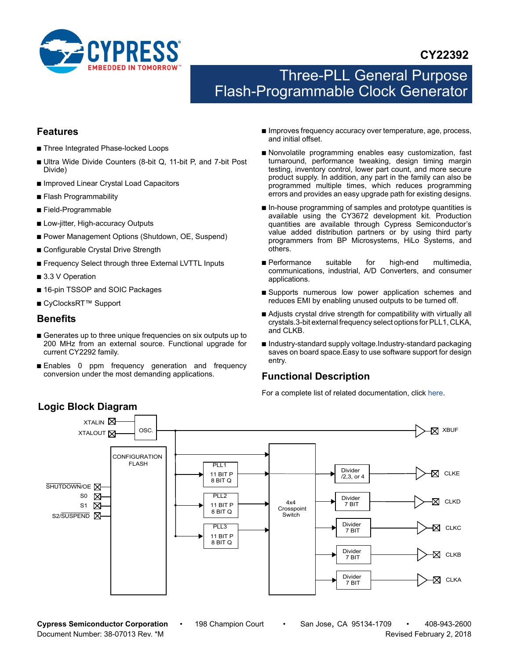

# **CY22392**

# Three-PLL General Purpose Flash-Programmable Clock Generator

## <span id="page-0-1"></span>**Features**

- Three Integrated Phase-locked Loops
- Ultra Wide Divide Counters (8-bit Q, 11-bit P, and 7-bit Post Divide)
- Improved Linear Crystal Load Capacitors
- Flash Programmability
- Field-Programmable
- Low-jitter, High-accuracy Outputs
- Power Management Options (Shutdown, OE, Suspend)
- Configurable Crystal Drive Strength
- Frequency Select through three External LVTTL Inputs
- 3.3 V Operation
- 16-pin TSSOP and SOIC Packages
- CyClocksRT<sup>™</sup> Support

#### **Benefits**

- Generates up to three unique frequencies on six outputs up to 200 MHz from an external source. Functional upgrade for current CY2292 family.
- Enables 0 ppm frequency generation and frequency conversion under the most demanding applications.
- Improves frequency accuracy over temperature, age, process, and initial offset.
- Nonvolatile programming enables easy customization, fast turnaround, performance tweaking, design timing margin testing, inventory control, lower part count, and more secure product supply. In addition, any part in the family can also be programmed multiple times, which reduces programming errors and provides an easy upgrade path for existing designs.
- In-house programming of samples and prototype quantities is available using the CY3672 development kit. Production quantities are available through Cypress Semiconductor's value added distribution partners or by using third party programmers from BP Microsystems, HiLo Systems, and others.
- Performance suitable for high-end multimedia, communications, industrial, A/D Converters, and consumer applications.
- Supports numerous low power application schemes and reduces EMI by enabling unused outputs to be turned off.
- Adjusts crystal drive strength for compatibility with virtually all crystals.3-bit external frequency select options for PLL1, CLKA, and CLKB.
- Industry-standard supply voltage.Industry-standard packaging saves on board space.Easy to use software support for design entry.

# <span id="page-0-0"></span>**Functional Description**

For a complete list of related documentation, click [here](http://www.cypress.com/?rID=13741).



**Cypress Semiconductor Corporation** • 198 Champion Court • San Jose, CA 95134-1709 • 408-943-2600 Document Number: 38-07013 Rev. \*M Revised February 2, 2018

# **Logic Block Diagram**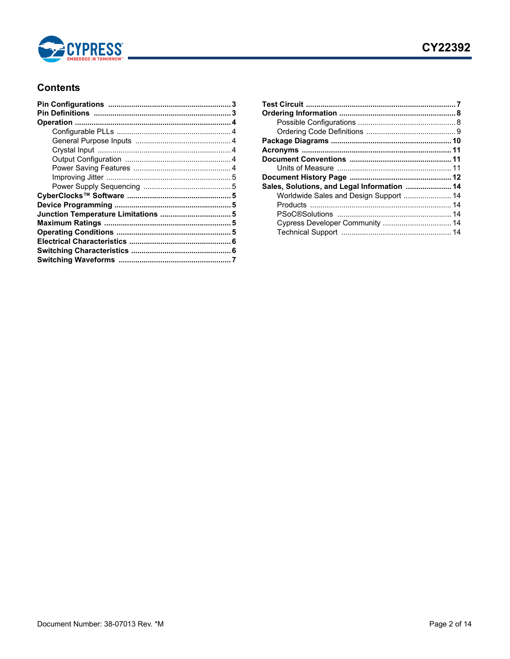

# **Contents**

| Sales, Solutions, and Legal Information  14 |  |
|---------------------------------------------|--|
| Worldwide Sales and Design Support  14      |  |
|                                             |  |
|                                             |  |
| Cypress Developer Community  14             |  |
|                                             |  |
|                                             |  |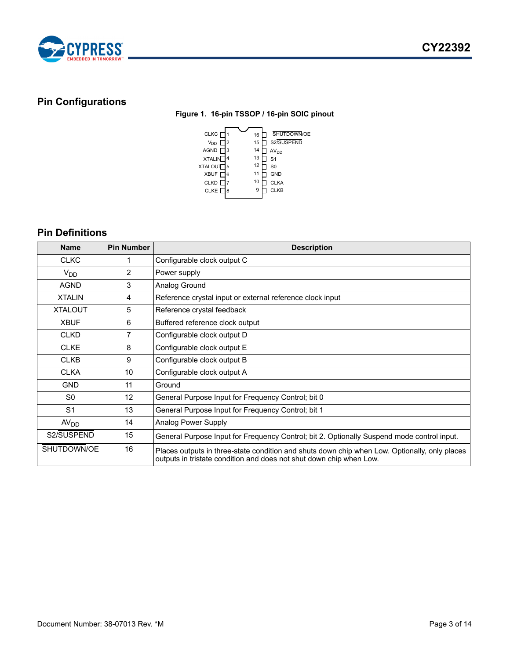

# <span id="page-2-2"></span><span id="page-2-0"></span>**Pin Configurations**

#### **Figure 1. 16-pin TSSOP / 16-pin SOIC pinout**



# <span id="page-2-1"></span>**Pin Definitions**

| <b>Name</b>      | <b>Pin Number</b> | <b>Description</b>                                                                                                                                                   |
|------------------|-------------------|----------------------------------------------------------------------------------------------------------------------------------------------------------------------|
| <b>CLKC</b>      |                   | Configurable clock output C                                                                                                                                          |
| $V_{DD}$         | $\overline{2}$    | Power supply                                                                                                                                                         |
| <b>AGND</b>      | 3                 | Analog Ground                                                                                                                                                        |
| <b>XTALIN</b>    | 4                 | Reference crystal input or external reference clock input                                                                                                            |
| <b>XTALOUT</b>   | 5                 | Reference crystal feedback                                                                                                                                           |
| <b>XBUF</b>      | 6                 | Buffered reference clock output                                                                                                                                      |
| <b>CLKD</b>      | $\overline{7}$    | Configurable clock output D                                                                                                                                          |
| <b>CLKE</b>      | 8                 | Configurable clock output E                                                                                                                                          |
| <b>CLKB</b>      | 9                 | Configurable clock output B                                                                                                                                          |
| <b>CLKA</b>      | 10                | Configurable clock output A                                                                                                                                          |
| <b>GND</b>       | 11                | Ground                                                                                                                                                               |
| S <sub>0</sub>   | 12                | General Purpose Input for Frequency Control; bit 0                                                                                                                   |
| S <sub>1</sub>   | 13                | General Purpose Input for Frequency Control; bit 1                                                                                                                   |
| AV <sub>DD</sub> | 14                | Analog Power Supply                                                                                                                                                  |
| S2/SUSPEND       | 15                | General Purpose Input for Frequency Control; bit 2. Optionally Suspend mode control input.                                                                           |
| SHUTDOWN/OE      | 16                | Places outputs in three-state condition and shuts down chip when Low. Optionally, only places<br>outputs in tristate condition and does not shut down chip when Low. |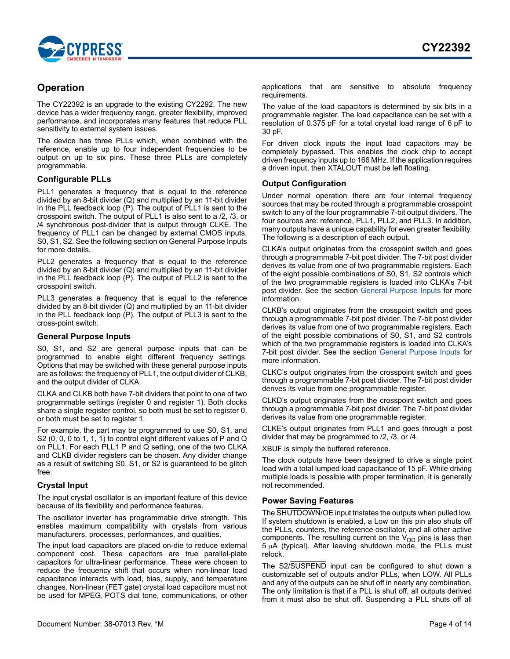

# <span id="page-3-0"></span>**Operation**

The CY22392 is an upgrade to the existing CY2292. The new device has a wider frequency range, greater flexibility, improved performance, and incorporates many features that reduce PLL sensitivity to external system issues.

The device has three PLLs which, when combined with the reference, enable up to four independent frequencies to be output on up to six pins. These three PLLs are completely programmable.

#### <span id="page-3-1"></span>**Configurable PLLs**

PLL1 generates a frequency that is equal to the reference divided by an 8-bit divider (Q) and multiplied by an 11-bit divider in the PLL feedback loop (P). The output of PLL1 is sent to the crosspoint switch. The output of PLL1 is also sent to a /2, /3, or /4 synchronous post-divider that is output through CLKE. The frequency of PLL1 can be changed by external CMOS inputs, S0, S1, S2. See the following section on General Purpose Inputs for more details.

PLL2 generates a frequency that is equal to the reference divided by an 8-bit divider (Q) and multiplied by an 11-bit divider in the PLL feedback loop (P). The output of PLL2 is sent to the crosspoint switch.

PLL3 generates a frequency that is equal to the reference divided by an 8-bit divider (Q) and multiplied by an 11-bit divider in the PLL feedback loop (P). The output of PLL3 is sent to the cross-point switch.

#### <span id="page-3-2"></span>**General Purpose Inputs**

S0, S1, and S2 are general purpose inputs that can be programmed to enable eight different frequency settings. Options that may be switched with these general purpose inputs are as follows: the frequency of PLL1, the output divider of CLKB, and the output divider of CLKA.

CLKA and CLKB both have 7-bit dividers that point to one of two programmable settings (register 0 and register 1). Both clocks share a single register control, so both must be set to register 0, or both must be set to register 1.

For example, the part may be programmed to use S0, S1, and S2 (0, 0, 0 to 1, 1, 1) to control eight different values of P and Q on PLL1. For each PLL1 P and Q setting, one of the two CLKA and CLKB divider registers can be chosen. Any divider change as a result of switching S0, S1, or S2 is guaranteed to be glitch free.

#### <span id="page-3-3"></span>**Crystal Input**

The input crystal oscillator is an important feature of this device because of its flexibility and performance features.

The oscillator inverter has programmable drive strength. This enables maximum compatibility with crystals from various manufacturers, processes, performances, and qualities.

The input load capacitors are placed on-die to reduce external component cost. These capacitors are true parallel-plate capacitors for ultra-linear performance. These were chosen to reduce the frequency shift that occurs when non-linear load capacitance interacts with load, bias, supply, and temperature changes. Non-linear (FET gate) crystal load capacitors must not be used for MPEG, POTS dial tone, communications, or other

applications that are sensitive to absolute frequency requirements.

The value of the load capacitors is determined by six bits in a programmable register. The load capacitance can be set with a resolution of 0.375 pF for a total crystal load range of 6 pF to 30 pF.

For driven clock inputs the input load capacitors may be completely bypassed. This enables the clock chip to accept driven frequency inputs up to 166 MHz. If the application requires a driven input, then XTALOUT must be left floating.

#### <span id="page-3-4"></span>**Output Configuration**

Under normal operation there are four internal frequency sources that may be routed through a programmable crosspoint switch to any of the four programmable 7-bit output dividers. The four sources are: reference, PLL1, PLL2, and PLL3. In addition, many outputs have a unique capability for even greater flexibility. The following is a description of each output.

CLKA's output originates from the crosspoint switch and goes through a programmable 7-bit post divider. The 7-bit post divider derives its value from one of two programmable registers. Each of the eight possible combinations of S0, S1, S2 controls which of the two programmable registers is loaded into CLKA's 7-bit post divider. See the section [General Purpose Inputs](#page-3-2) for more information.

CLKB's output originates from the crosspoint switch and goes through a programmable 7-bit post divider. The 7-bit post divider derives its value from one of two programmable registers. Each of the eight possible combinations of S0, S1, and S2 controls which of the two programmable registers is loaded into CLKA's 7-bit post divider. See the section [General Purpose Inputs](#page-3-2) for more information.

CLKC's output originates from the crosspoint switch and goes through a programmable 7-bit post divider. The 7-bit post divider derives its value from one programmable register.

CLKD's output originates from the crosspoint switch and goes through a programmable 7-bit post divider. The 7-bit post divider derives its value from one programmable register.

CLKE's output originates from PLL1 and goes through a post divider that may be programmed to /2, /3, or /4.

XBUF is simply the buffered reference.

The clock outputs have been designed to drive a single point load with a total lumped load capacitance of 15 pF. While driving multiple loads is possible with proper termination, it is generally not recommended.

#### <span id="page-3-5"></span>**Power Saving Features**

The SHUTDOWN/OE input tristates the outputs when pulled low. If system shutdown is enabled, a Low on this pin also shuts off the PLLs, counters, the reference oscillator, and all other active components. The resulting current on the  $V_{DD}$  pins is less than  $5 \mu A$  (typical). After leaving shutdown mode, the PLLs must relock.

The S2/SUSPEND input can be configured to shut down a customizable set of outputs and/or PLLs, when LOW. All PLLs and any of the outputs can be shut off in nearly any combination. The only limitation is that if a PLL is shut off, all outputs derived from it must also be shut off. Suspending a PLL shuts off all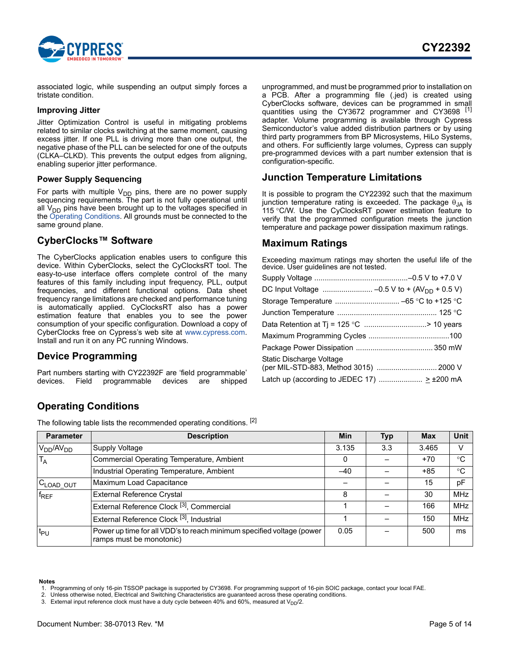

associated logic, while suspending an output simply forces a tristate condition.

#### <span id="page-4-0"></span>**Improving Jitter**

Jitter Optimization Control is useful in mitigating problems related to similar clocks switching at the same moment, causing excess jitter. If one PLL is driving more than one output, the negative phase of the PLL can be selected for one of the outputs (CLKA–CLKD). This prevents the output edges from aligning, enabling superior jitter performance.

#### <span id="page-4-1"></span>**Power Supply Sequencing**

For parts with multiple  $V_{DD}$  pins, there are no power supply sequencing requirements. The part is not fully operational until all  $V_{DD}$  pins have been brought up to the voltages specified in the [Operating Conditions.](#page-4-6) All grounds must be connected to the same ground plane.

## <span id="page-4-2"></span>**CyberClocks™ Software**

The CyberClocks application enables users to configure this device. Within CyberClocks, select the CyClocksRT tool. The easy-to-use interface offers complete control of the many features of this family including input frequency, PLL, output frequencies, and different functional options. Data sheet frequency range limitations are checked and performance tuning is automatically applied. CyClocksRT also has a power estimation feature that enables you to see the power consumption of your specific configuration. Download a copy of CyberClocks free on Cypress's web site at www.cypress.com. Install and run it on any PC running Windows.

#### <span id="page-4-3"></span>**Device Programming**

Part numbers starting with CY22392F are 'field programmable' devices. Field programmable devices are shipped unprogrammed, and must be programmed prior to installation on a PCB. After a programming file (.jed) is created using CyberClocks software, devices can be programmed in small quantities using the CY3672 programmer and CY3698 [[1\]](#page-4-9) adapter. Volume programming is available through Cypress Semiconductor's value added distribution partners or by using third party programmers from BP Microsystems, HiLo Systems, and others. For sufficiently large volumes, Cypress can supply pre-programmed devices with a part number extension that is configuration-specific.

#### <span id="page-4-4"></span>**Junction Temperature Limitations**

It is possible to program the CY22392 such that the maximum junction temperature rating is exceeded. The package  $\theta_{JA}$  is 115 °C/W. Use the CyClocksRT power estimation feature to verify that the programmed configuration meets the junction temperature and package power dissipation maximum ratings.

#### <span id="page-4-5"></span>**Maximum Ratings**

Exceeding maximum ratings may shorten the useful life of the device. User guidelines are not tested.

| DC Input Voltage  -0.5 V to + (AV <sub>DD</sub> + 0.5 V)           |  |
|--------------------------------------------------------------------|--|
| Storage Temperature  -65 °C to +125 °C                             |  |
|                                                                    |  |
| Data Retention at Tj = 125 °C > 10 years                           |  |
|                                                                    |  |
|                                                                    |  |
| Static Discharge Voltage<br>(per MIL-STD-883, Method 3015)  2000 V |  |
|                                                                    |  |
|                                                                    |  |

# <span id="page-4-6"></span>**Operating Conditions**

The following table lists the recommended operating conditions. [\[2](#page-4-7)]

| <b>Parameter</b>      | <b>Description</b>                                                                                | Min   | <b>Typ</b> | <b>Max</b> | <b>Unit</b> |
|-----------------------|---------------------------------------------------------------------------------------------------|-------|------------|------------|-------------|
| $V_{DD}/AV_{DD}$      | Supply Voltage                                                                                    | 3.135 | 3.3        | 3.465      | V           |
| T <sub>A</sub>        | <b>Commercial Operating Temperature, Ambient</b>                                                  | 0     |            | $+70$      | °C          |
|                       | Industrial Operating Temperature, Ambient                                                         | $-40$ |            | $+85$      | $^{\circ}C$ |
| C <sub>LOAD</sub> OUT | Maximum Load Capacitance                                                                          |       |            | 15         | pF          |
| $f_{REF}$             | <b>External Reference Crystal</b>                                                                 | 8     |            | 30         | <b>MHz</b>  |
|                       | External Reference Clock <sup>[3]</sup> , Commercial                                              |       |            | 166        | <b>MHz</b>  |
|                       | External Reference Clock <sup>[3]</sup> , Industrial                                              |       |            | 150        | <b>MHz</b>  |
| t <sub>PU</sub>       | Power up time for all VDD's to reach minimum specified voltage (power<br>ramps must be monotonic) | 0.05  |            | 500        | ms          |

#### **Notes**

<span id="page-4-9"></span>1. Programming of only 16-pin TSSOP package is supported by CY3698. For programming support of 16-pin SOIC package, contact your local FAE.

<span id="page-4-8"></span>3. External input reference clock must have a duty cycle between 40% and 60%, measured at  $V_{\text{DD}}/2$ .

<span id="page-4-7"></span><sup>2.</sup> Unless otherwise noted, Electrical and Switching Characteristics are guaranteed across these operating conditions.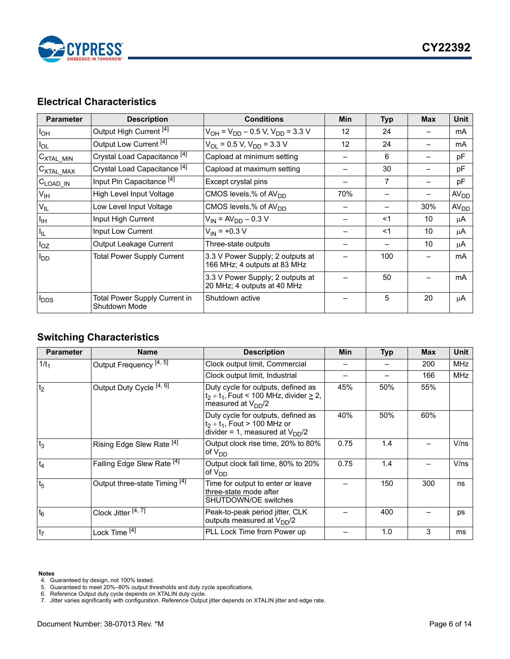

# <span id="page-5-0"></span>**Electrical Characteristics**

| <b>Parameter</b>              | <b>Description</b>                             | <b>Conditions</b>                                                | Min | <b>Typ</b> | <b>Max</b> | <b>Unit</b>      |
|-------------------------------|------------------------------------------------|------------------------------------------------------------------|-----|------------|------------|------------------|
| $I_{OH}$                      | Output High Current <sup>[4]</sup>             | $V_{OH}$ = $V_{DD}$ – 0.5 V, V <sub>DD</sub> = 3.3 V             | 12  | 24         |            | mA               |
| $I_{OL}$                      | Output Low Current <sup>[4]</sup>              | $V_{OL}$ = 0.5 V, $V_{DD}$ = 3.3 V                               | 12  | 24         |            | mA               |
| $C_{\text{XTAL\_MIN}}$        | Crystal Load Capacitance <sup>[4]</sup>        | Capload at minimum setting                                       |     | 6          |            | pF               |
| $C_{\text{XTAL}\_\text{MAX}}$ | Crystal Load Capacitance <sup>[4]</sup>        | Capload at maximum setting                                       |     | 30         |            | pF               |
| $C_{\text{LOAD\_IN}}$         | Input Pin Capacitance <sup>[4]</sup>           | Except crystal pins                                              |     | 7          |            | pF               |
| $V_{\text{IH}}$               | High Level Input Voltage                       | CMOS levels,% of AV <sub>DD</sub>                                | 70% |            |            | AV <sub>DD</sub> |
| $V_{IL}$                      | Low Level Input Voltage                        | CMOS levels,% of AV <sub>DD</sub>                                |     |            | 30%        | AV <sub>DD</sub> |
| $I_{\text{IH}}$               | Input High Current                             | $V_{IN} = AV_{DD} - 0.3 V$                                       |     | $<$ 1      | 10         | μA               |
| $I_{IL}$                      | Input Low Current                              | $V_{IN}$ = +0.3 V                                                |     | <1         | 10         | μA               |
| $I_{OZ}$                      | Output Leakage Current                         | Three-state outputs                                              |     |            | 10         | μA               |
| <b>I</b> <sub>DD</sub>        | <b>Total Power Supply Current</b>              | 3.3 V Power Supply; 2 outputs at<br>166 MHz; 4 outputs at 83 MHz |     | 100        |            | mA               |
|                               |                                                | 3.3 V Power Supply; 2 outputs at<br>20 MHz; 4 outputs at 40 MHz  |     | 50         |            | mA               |
| <b>PDDS</b>                   | Total Power Supply Current in<br>Shutdown Mode | Shutdown active                                                  |     | 5          | 20         | μA               |

# <span id="page-5-1"></span>**Switching Characteristics**

| <b>Parameter</b> | <b>Name</b>                           | <b>Description</b>                                                                                                  | Min  | <b>Typ</b> | <b>Max</b> | <b>Unit</b> |
|------------------|---------------------------------------|---------------------------------------------------------------------------------------------------------------------|------|------------|------------|-------------|
| $1/t_1$          | Output Frequency <sup>[4, 5]</sup>    | Clock output limit, Commercial                                                                                      |      |            | 200        | <b>MHz</b>  |
|                  |                                       | Clock output limit, Industrial                                                                                      |      |            | 166        | MHz         |
| t <sub>2</sub>   | Output Duty Cycle <sup>[4, 6]</sup>   | Duty cycle for outputs, defined as<br>$t_2 \div t_1$ , Fout < 100 MHz, divider $\geq 2$ ,<br>measured at $V_{DD}/2$ | 45%  | 50%        | 55%        |             |
|                  |                                       | Duty cycle for outputs, defined as<br>$t_2 \div t_1$ , Fout > 100 MHz or<br>divider = 1, measured at $V_{DD}/2$     | 40%  | 50%        | 60%        |             |
| $t_3$            | Rising Edge Slew Rate [4]             | Output clock rise time, 20% to 80%<br>of V <sub>DD</sub>                                                            | 0.75 | 1.4        |            | V/ns        |
| $t_4$            | Falling Edge Slew Rate <sup>[4]</sup> | Output clock fall time, 80% to 20%<br>of V <sub>DD</sub>                                                            | 0.75 | 1.4        |            | V/ns        |
| t <sub>5</sub>   | Output three-state Timing [4]         | Time for output to enter or leave<br>three-state mode after<br>SHUTDOWN/OE switches                                 |      | 150        | 300        | ns          |
| $t_6$            | Clock Jitter <sup>[4, 7]</sup>        | Peak-to-peak period jitter, CLK<br>outputs measured at V <sub>DD</sub> /2                                           |      | 400        |            | ps          |
| t <sub>7</sub>   | Lock Time <sup>[4]</sup>              | PLL Lock Time from Power up                                                                                         |      | 1.0        | 3          | ms          |

#### **Notes**

- <span id="page-5-2"></span>
- <span id="page-5-5"></span>4. Guaranteed by design, not 100% tested. 5. Guaranteed to meet 20%–80% output thresholds and duty cycle specifications.
- <span id="page-5-3"></span>

<span id="page-5-4"></span><sup>6.</sup> Reference Output duty cycle depends on XTALIN duty cycle. 7. Jitter varies significantly with configuration. Reference Output jitter depends on XTALIN jitter and edge rate.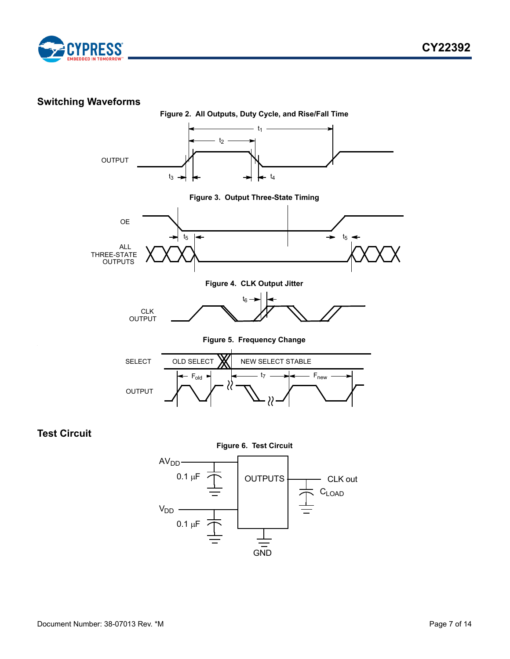



# <span id="page-6-0"></span>**Switching Waveforms**



<span id="page-6-1"></span>**Test Circuit**

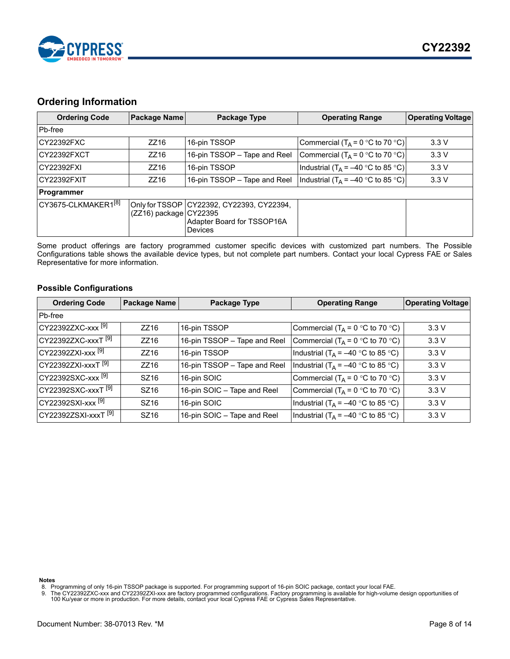

## <span id="page-7-0"></span>**Ordering Information**

| <b>Ordering Code</b><br>Package Name |                            | Package Type                                                                         | <b>Operating Range</b>                        | <b>Operating Voltage</b> |
|--------------------------------------|----------------------------|--------------------------------------------------------------------------------------|-----------------------------------------------|--------------------------|
| Pb-free                              |                            |                                                                                      |                                               |                          |
| CY22392FXC                           | ZZ16                       | 16-pin TSSOP                                                                         | Commercial $(T_A = 0 °C$ to 70 °C)            | 3.3V                     |
| CY22392FXCT                          | ZZ16                       | 16-pin TSSOP - Tape and Reel                                                         | Commercial ( $T_A = 0$ °C to 70 °C)           | 3.3V                     |
| CY22392FXI                           | ZZ16                       | 16-pin TSSOP                                                                         | Industrial (T <sub>A</sub> = –40 °C to 85 °C) | 3.3V                     |
| CY22392FXIT<br>ZZ16                  |                            | 16-pin TSSOP - Tape and Reel                                                         | Industrial (T <sub>A</sub> = –40 °C to 85 °C) | 3.3V                     |
| Programmer                           |                            |                                                                                      |                                               |                          |
| CY3675-CLKMAKER1 <sup>[8]</sup>      | $(ZZ16)$ package $CY22395$ | Only for TSSOP   CY22392, CY22393, CY22394,<br>Adapter Board for TSSOP16A<br>Devices |                                               |                          |

Some product offerings are factory programmed customer specific devices with customized part numbers. The Possible Configurations table shows the available device types, but not complete part numbers. Contact your local Cypress FAE or Sales Representative for more information.

#### <span id="page-7-1"></span>**Possible Configurations**

| <b>Ordering Code</b>            | <b>Package Name</b> | Package Type                 | <b>Operating Range</b>                          | <b>Operating Voltage</b> |
|---------------------------------|---------------------|------------------------------|-------------------------------------------------|--------------------------|
| Pb-free                         |                     |                              |                                                 |                          |
| CY22392ZXC-xxx <sup>[9]</sup>   | ZZ16                | 16-pin TSSOP                 | Commercial (T <sub>A</sub> = 0 °C to 70 °C)     | 3.3V                     |
| CY22392ZXC-xxxT <sup>[9]</sup>  | ZZ16                | 16-pin TSSOP - Tape and Reel | Commercial (T <sub>A</sub> = 0 °C to 70 °C)     | 3.3V                     |
| $CY22392ZXI-XXX[9]$             | ZZ16                | 16-pin TSSOP                 | Industrial (T <sub>A</sub> = –40 °C to 85 °C)   | 3.3V                     |
| $CY22392ZXI-XXXT[9]$            | ZZ16                | 16-pin TSSOP - Tape and Reel | Industrial (T <sub>A</sub> = –40 °C to 85 °C)   | 3.3V                     |
| CY22392SXC-xxx <sup>[9]</sup>   | SZ16                | 16-pin SOIC                  | Commercial ( $T_A = 0$ °C to 70 °C)             | 3.3V                     |
| CY22392SXC-xxxT <sup>[9]</sup>  | SZ16                | 16-pin SOIC - Tape and Reel  | Commercial (T <sub>A</sub> = 0 °C to 70 °C)     | 3.3V                     |
| CY22392SXI-xxx <sup>[9]</sup>   | SZ16                | 16-pin SOIC                  | Industrial (T <sub>A</sub> = $-40$ °C to 85 °C) | 3.3V                     |
| CY22392ZSXI-xxxT <sup>[9]</sup> | SZ16                | 16-pin SOIC - Tape and Reel  | Industrial (T <sub>A</sub> = –40 °C to 85 °C)   | 3.3V                     |

**Notes**

- <span id="page-7-3"></span>
- <span id="page-7-2"></span>8. Programming of only 16-pin TSSOP package is supported. For programming support of 16-pin SOIC package, contact your local FAE.<br>9. The CY22392ZXC-xxx and CY22392ZXI-xxx are factory programmed configurations. Factory
-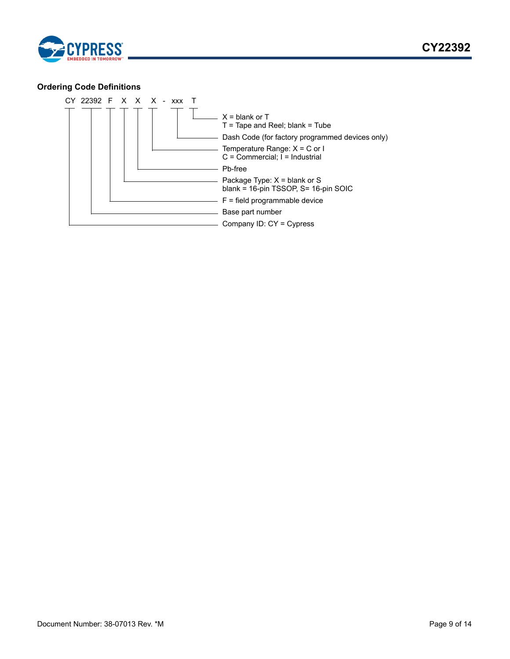

## <span id="page-8-0"></span>**Ordering Code Definitions**

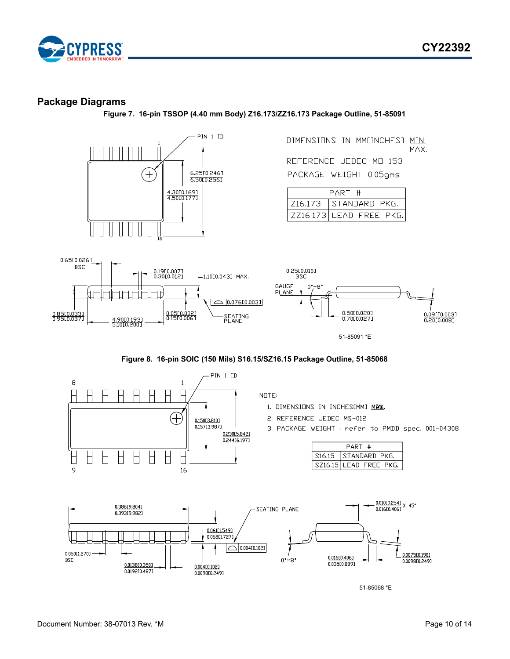



## <span id="page-9-0"></span>**Package Diagrams**

**Figure 7. 16-pin TSSOP (4.40 mm Body) Z16.173/ZZ16.173 Package Outline, 51-85091**





51-85068 \*E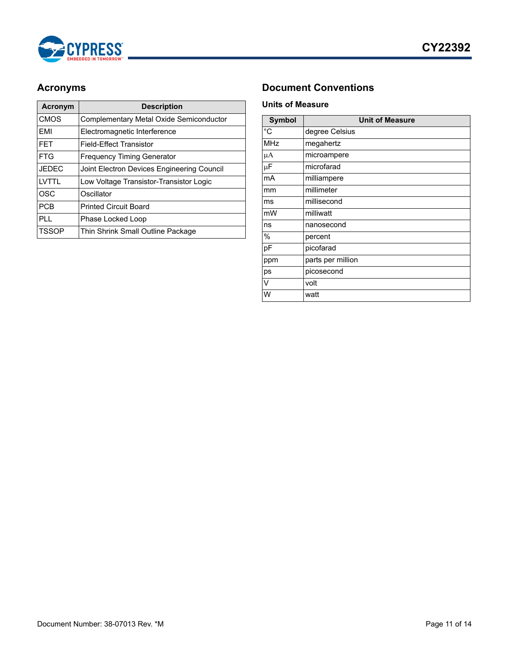

| Acronym      | <b>Description</b>                         |  |  |  |
|--------------|--------------------------------------------|--|--|--|
| <b>CMOS</b>  | Complementary Metal Oxide Semiconductor    |  |  |  |
| FMI          | Electromagnetic Interference               |  |  |  |
| <b>FET</b>   | Field-Fffect Transistor                    |  |  |  |
| <b>FTG</b>   | <b>Frequency Timing Generator</b>          |  |  |  |
| <b>JEDEC</b> | Joint Electron Devices Engineering Council |  |  |  |
| I VTTI       | Low Voltage Transistor-Transistor Logic    |  |  |  |
| <b>OSC</b>   | Oscillator                                 |  |  |  |
| <b>PCB</b>   | <b>Printed Circuit Board</b>               |  |  |  |
| PL L         | Phase Locked Loop                          |  |  |  |
| TSSOP        | Thin Shrink Small Outline Package          |  |  |  |

# <span id="page-10-0"></span>**Acronyms Document Conventions**

#### <span id="page-10-2"></span><span id="page-10-1"></span>**Units of Measure**

| <b>Symbol</b> | <b>Unit of Measure</b> |  |  |  |
|---------------|------------------------|--|--|--|
| °C            | degree Celsius         |  |  |  |
| MHz           | megahertz              |  |  |  |
| μA            | microampere            |  |  |  |
| μF            | microfarad             |  |  |  |
| mA            | milliampere            |  |  |  |
| mm            | millimeter             |  |  |  |
| ms            | millisecond            |  |  |  |
| mW            | milliwatt              |  |  |  |
| ns            | nanosecond             |  |  |  |
| $\%$          | percent                |  |  |  |
| pF            | picofarad              |  |  |  |
| ppm           | parts per million      |  |  |  |
| ps            | picosecond             |  |  |  |
| V             | volt                   |  |  |  |
| W             | watt                   |  |  |  |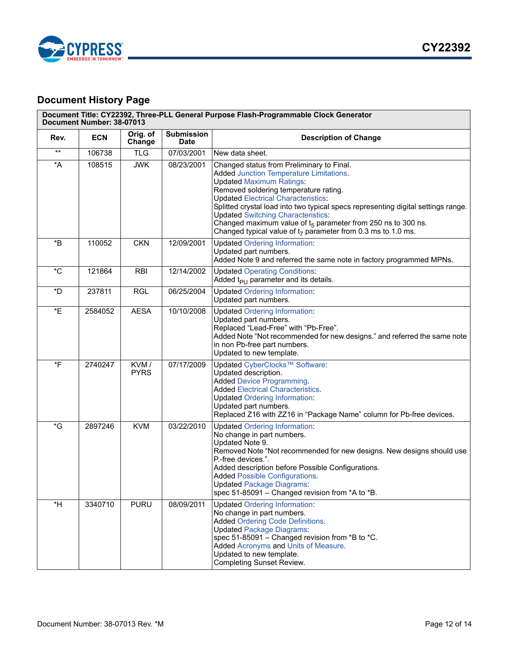

# <span id="page-11-0"></span>**Document History Page**

| Document Title: CY22392, Three-PLL General Purpose Flash-Programmable Clock Generator<br>Document Number: 38-07013 |            |                     |                                  |                                                                                                                                                                                                                                                                                                                                                                                                                                                                                               |  |
|--------------------------------------------------------------------------------------------------------------------|------------|---------------------|----------------------------------|-----------------------------------------------------------------------------------------------------------------------------------------------------------------------------------------------------------------------------------------------------------------------------------------------------------------------------------------------------------------------------------------------------------------------------------------------------------------------------------------------|--|
| Rev.                                                                                                               | <b>ECN</b> | Orig. of<br>Change  | <b>Submission</b><br><b>Date</b> | <b>Description of Change</b>                                                                                                                                                                                                                                                                                                                                                                                                                                                                  |  |
| $^{\star\star}$                                                                                                    | 106738     | <b>TLG</b>          | 07/03/2001                       | New data sheet.                                                                                                                                                                                                                                                                                                                                                                                                                                                                               |  |
| $\star$ A                                                                                                          | 108515     | <b>JWK</b>          | 08/23/2001                       | Changed status from Preliminary to Final.<br><b>Added Junction Temperature Limitations.</b><br><b>Updated Maximum Ratings:</b><br>Removed soldering temperature rating.<br><b>Updated Electrical Characteristics:</b><br>Splitted crystal load into two typical specs representing digital settings range.<br><b>Updated Switching Characteristics:</b><br>Changed maximum value of $t_5$ parameter from 250 ns to 300 ns.<br>Changed typical value of $t_7$ parameter from 0.3 ms to 1.0 ms. |  |
| *B                                                                                                                 | 110052     | <b>CKN</b>          | 12/09/2001                       | <b>Updated Ordering Information:</b><br>Updated part numbers.<br>Added Note 9 and referred the same note in factory programmed MPNs.                                                                                                                                                                                                                                                                                                                                                          |  |
| $^{\ast}$ C                                                                                                        | 121864     | <b>RBI</b>          | 12/14/2002                       | <b>Updated Operating Conditions:</b><br>Added $t_{PI}$ parameter and its details.                                                                                                                                                                                                                                                                                                                                                                                                             |  |
| *D                                                                                                                 | 237811     | <b>RGL</b>          | 06/25/2004                       | <b>Updated Ordering Information:</b><br>Updated part numbers.                                                                                                                                                                                                                                                                                                                                                                                                                                 |  |
| *E                                                                                                                 | 2584052    | <b>AESA</b>         | 10/10/2008                       | <b>Updated Ordering Information:</b><br>Updated part numbers.<br>Replaced "Lead-Free" with "Pb-Free".<br>Added Note "Not recommended for new designs." and referred the same note<br>in non Pb-free part numbers.<br>Updated to new template.                                                                                                                                                                                                                                                 |  |
| $\overline{F}$                                                                                                     | 2740247    | KVM/<br><b>PYRS</b> | 07/17/2009                       | Updated CyberClocks™ Software:<br>Updated description.<br><b>Added Device Programming.</b><br><b>Added Electrical Characteristics.</b><br><b>Updated Ordering Information:</b><br>Updated part numbers.<br>Replaced Z16 with ZZ16 in "Package Name" column for Pb-free devices.                                                                                                                                                                                                               |  |
| $\mathcal{E}$                                                                                                      | 2897246    | <b>KVM</b>          | 03/22/2010                       | <b>Updated Ordering Information:</b><br>No change in part numbers.<br>Updated Note 9.<br>Removed Note "Not recommended for new designs. New designs should use<br>P.-free devices.".<br>Added description before Possible Configurations.<br><b>Added Possible Configurations.</b><br><b>Updated Package Diagrams:</b><br>spec 51-85091 - Changed revision from *A to *B.                                                                                                                     |  |
| $*H$                                                                                                               | 3340710    | <b>PURU</b>         | 08/09/2011                       | <b>Updated Ordering Information:</b><br>No change in part numbers.<br><b>Added Ordering Code Definitions.</b><br><b>Updated Package Diagrams:</b><br>spec 51-85091 - Changed revision from *B to *C.<br>Added Acronyms and Units of Measure.<br>Updated to new template.<br><b>Completing Sunset Review.</b>                                                                                                                                                                                  |  |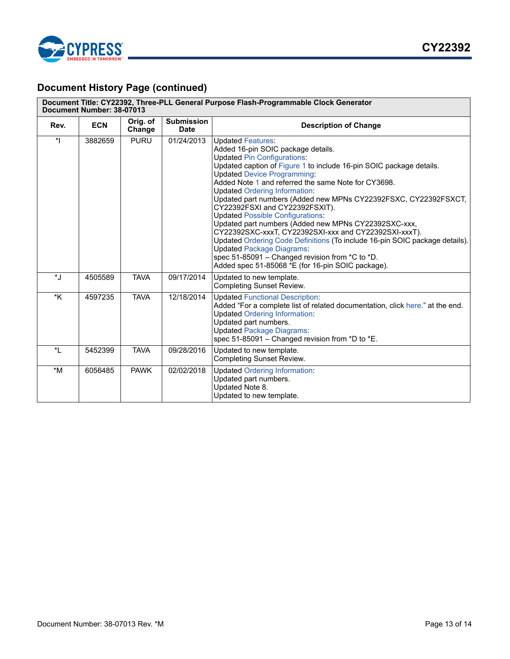

# **Document History Page (continued)**

| Document Title: CY22392, Three-PLL General Purpose Flash-Programmable Clock Generator<br>Document Number: 38-07013 |            |                    |                                  |                                                                                                                                                                                                                                                                                                                                                                                                                                                                                                                                                                                                                                                                                                                                                                                                              |  |
|--------------------------------------------------------------------------------------------------------------------|------------|--------------------|----------------------------------|--------------------------------------------------------------------------------------------------------------------------------------------------------------------------------------------------------------------------------------------------------------------------------------------------------------------------------------------------------------------------------------------------------------------------------------------------------------------------------------------------------------------------------------------------------------------------------------------------------------------------------------------------------------------------------------------------------------------------------------------------------------------------------------------------------------|--|
| Rev.                                                                                                               | <b>ECN</b> | Orig. of<br>Change | <b>Submission</b><br><b>Date</b> | <b>Description of Change</b>                                                                                                                                                                                                                                                                                                                                                                                                                                                                                                                                                                                                                                                                                                                                                                                 |  |
| $\star$                                                                                                            | 3882659    | <b>PURU</b>        | 01/24/2013                       | <b>Updated Features:</b><br>Added 16-pin SOIC package details.<br><b>Updated Pin Configurations:</b><br>Updated caption of Figure 1 to include 16-pin SOIC package details.<br><b>Updated Device Programming:</b><br>Added Note 1 and referred the same Note for CY3698.<br><b>Updated Ordering Information:</b><br>Updated part numbers (Added new MPNs CY22392FSXC, CY22392FSXCT,<br>CY22392FSXI and CY22392FSXIT).<br><b>Updated Possible Configurations:</b><br>Updated part numbers (Added new MPNs CY22392SXC-xxx,<br>CY22392SXC-xxxT, CY22392SXI-xxx and CY22392SXI-xxxT).<br>Updated Ordering Code Definitions (To include 16-pin SOIC package details).<br><b>Updated Package Diagrams:</b><br>spec 51-85091 - Changed revision from *C to *D.<br>Added spec 51-85068 *E (for 16-pin SOIC package). |  |
| $\star$ .                                                                                                          | 4505589    | <b>TAVA</b>        | 09/17/2014                       | Updated to new template.<br><b>Completing Sunset Review.</b>                                                                                                                                                                                                                                                                                                                                                                                                                                                                                                                                                                                                                                                                                                                                                 |  |
| *K                                                                                                                 | 4597235    | <b>TAVA</b>        | 12/18/2014                       | <b>Updated Functional Description:</b><br>Added "For a complete list of related documentation, click here." at the end.<br><b>Updated Ordering Information:</b><br>Updated part numbers.<br><b>Updated Package Diagrams:</b><br>spec 51-85091 – Changed revision from $*D$ to $*E$ .                                                                                                                                                                                                                                                                                                                                                                                                                                                                                                                         |  |
| $\star$ <sub>1</sub>                                                                                               | 5452399    | <b>TAVA</b>        | 09/28/2016                       | Updated to new template.<br><b>Completing Sunset Review.</b>                                                                                                                                                                                                                                                                                                                                                                                                                                                                                                                                                                                                                                                                                                                                                 |  |
| $*_{M}$                                                                                                            | 6056485    | <b>PAWK</b>        | 02/02/2018                       | <b>Updated Ordering Information:</b><br>Updated part numbers.<br>Updated Note 8.<br>Updated to new template.                                                                                                                                                                                                                                                                                                                                                                                                                                                                                                                                                                                                                                                                                                 |  |